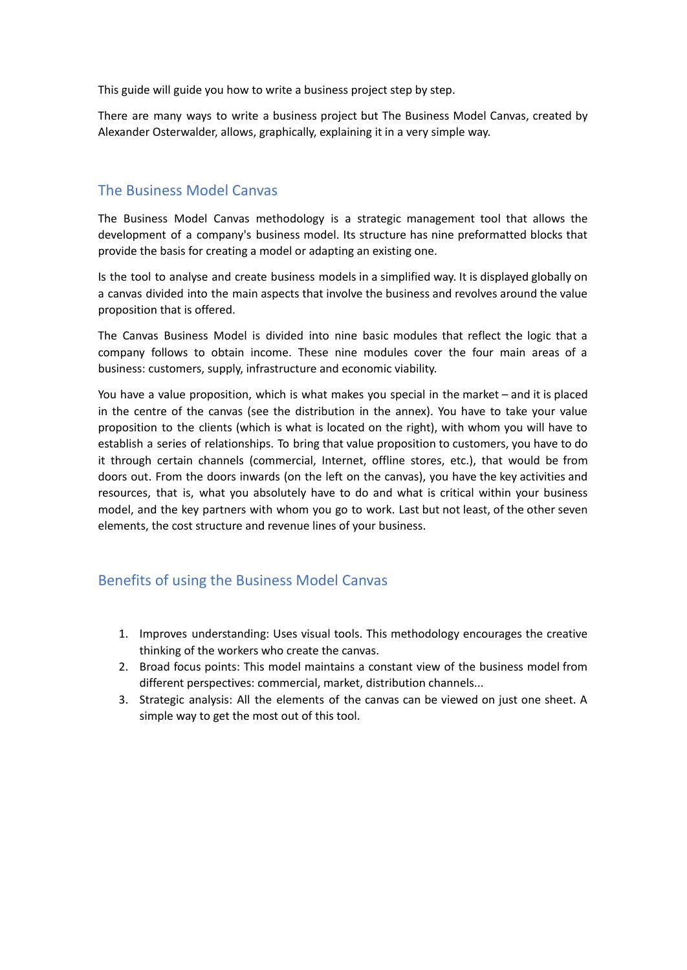This guide will guide you how to write a business project step by step.

There are many ways to write a business project but The Business Model Canvas, created by Alexander Osterwalder, allows, graphically, explaining it in a very simple way.

# The Business Model Canvas

The Business Model Canvas methodology is a strategic management tool that allows the development of a company's business model. Its structure has nine preformatted blocks that provide the basis for creating a model or adapting an existing one.

Is the tool to analyse and create business models in a simplified way. It is displayed globally on a canvas divided into the main aspects that involve the business and revolves around the value proposition that is offered.

The Canvas Business Model is divided into nine basic modules that reflect the logic that a company follows to obtain income. These nine modules cover the four main areas of a business: customers, supply, infrastructure and economic viability.

You have a value proposition, which is what makes you special in the market – and it is placed in the centre of the canvas (see the distribution in the annex). You have to take your value proposition to the clients (which is what is located on the right), with whom you will have to establish a series of relationships. To bring that value proposition to customers, you have to do it through certain channels (commercial, Internet, offline stores, etc.), that would be from doors out. From the doors inwards (on the left on the canvas), you have the key activities and resources, that is, what you absolutely have to do and what is critical within your business model, and the key partners with whom you go to work. Last but not least, of the other seven elements, the cost structure and revenue lines of your business.

# Benefits of using the Business Model Canvas

- 1. Improves understanding: Uses visual tools. This methodology encourages the creative thinking of the workers who create the canvas.
- 2. Broad focus points: This model maintains a constant view of the business model from different perspectives: commercial, market, distribution channels...
- 3. Strategic analysis: All the elements of the canvas can be viewed on just one sheet. A simple way to get the most out of this tool.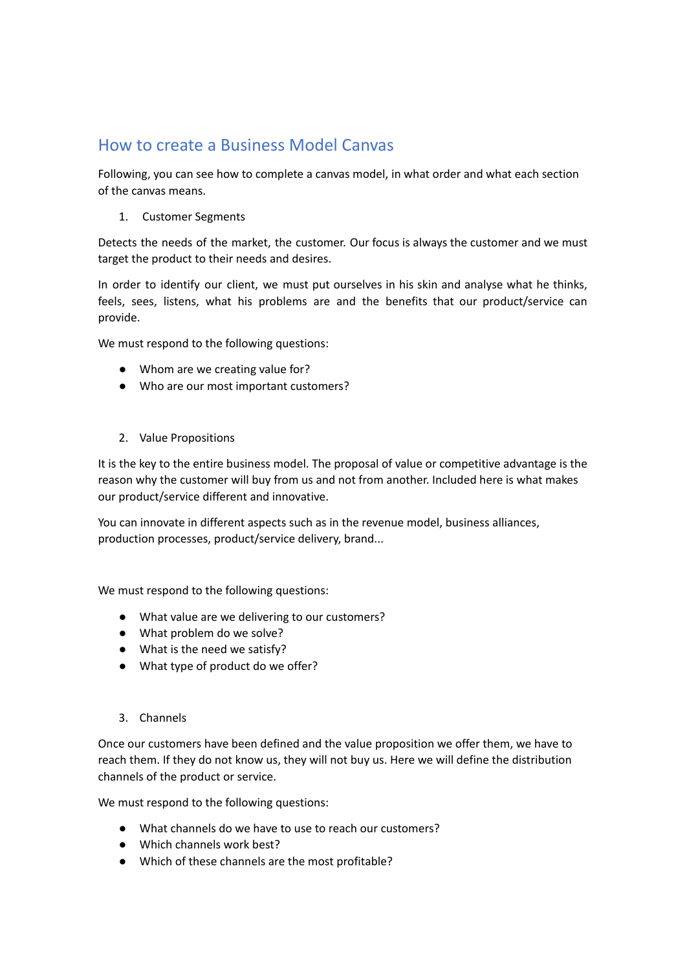# How to create a Business Model Canvas

Following, you can see how to complete a canvas model, in what order and what each section of the canvas means.

1. Customer Segments

Detects the needs of the market, the customer. Our focus is always the customer and we must target the product to their needs and desires.

In order to identify our client, we must put ourselves in his skin and analyse what he thinks, feels, sees, listens, what his problems are and the benefits that our product/service can provide.

We must respond to the following questions:

- Whom are we creating value for?
- Who are our most important customers?
- 2. Value Propositions

It is the key to the entire business model. The proposal of value or competitive advantage is the reason why the customer will buy from us and not from another. Included here is what makes our product/service different and innovative.

You can innovate in different aspects such as in the revenue model, business alliances, production processes, product/service delivery, brand...

We must respond to the following questions:

- What value are we delivering to our customers?
- What problem do we solve?
- What is the need we satisfy?
- What type of product do we offer?
- 3. Channels

Once our customers have been defined and the value proposition we offer them, we have to reach them. If they do not know us, they will not buy us. Here we will define the distribution channels of the product or service.

We must respond to the following questions:

- What channels do we have to use to reach our customers?
- Which channels work best?
- Which of these channels are the most profitable?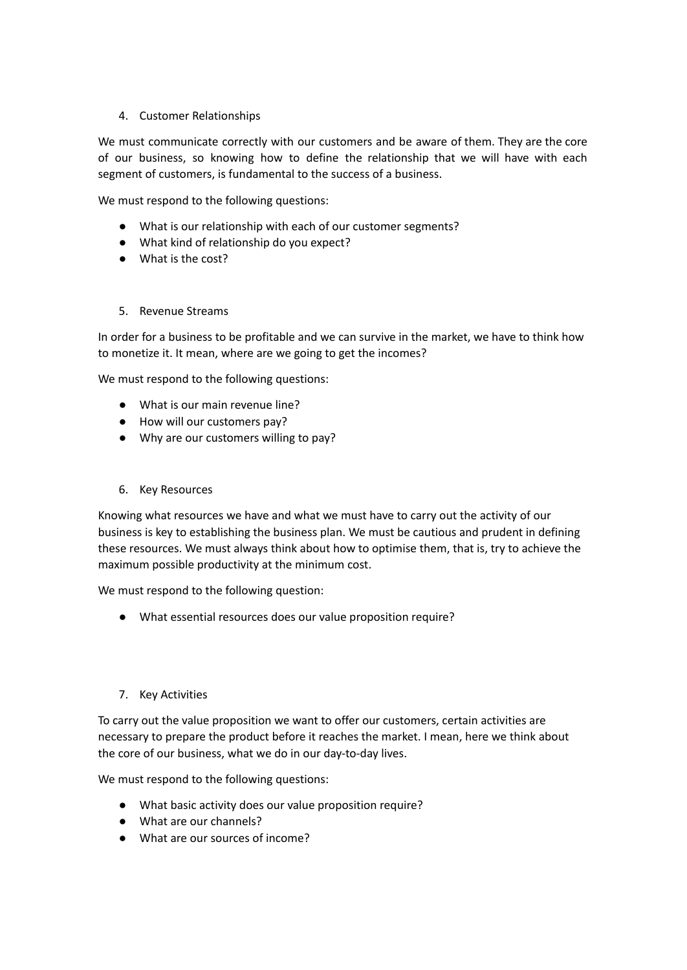## 4. Customer Relationships

We must communicate correctly with our customers and be aware of them. They are the core of our business, so knowing how to define the relationship that we will have with each segment of customers, is fundamental to the success of a business.

We must respond to the following questions:

- What is our relationship with each of our customer segments?
- What kind of relationship do you expect?
- What is the cost?

#### 5. Revenue Streams

In order for a business to be profitable and we can survive in the market, we have to think how to monetize it. It mean, where are we going to get the incomes?

We must respond to the following questions:

- What is our main revenue line?
- How will our customers pay?
- Why are our customers willing to pay?
- 6. Key Resources

Knowing what resources we have and what we must have to carry out the activity of our business is key to establishing the business plan. We must be cautious and prudent in defining these resources. We must always think about how to optimise them, that is, try to achieve the maximum possible productivity at the minimum cost.

We must respond to the following question:

● What essential resources does our value proposition require?

#### 7. Key Activities

To carry out the value proposition we want to offer our customers, certain activities are necessary to prepare the product before it reaches the market. I mean, here we think about the core of our business, what we do in our day-to-day lives.

We must respond to the following questions:

- What basic activity does our value proposition require?
- What are our channels?
- What are our sources of income?